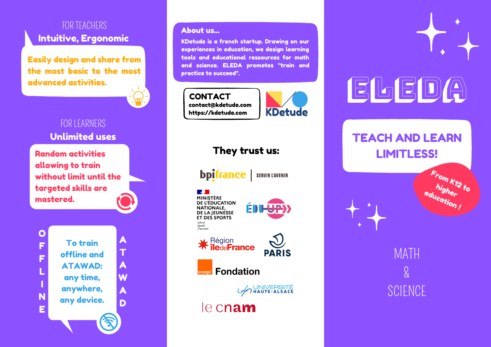### Intuitive, Ergonomic FOR TEACHERS

Easily design and share from the most basic to the most advanced activities.



### Unlimited uses FOR LEARNERS

Random activities allowing to train without limit until the targeted skills are mastered.

O F F L I N E A T A W A D To train offline and ATAWAD: any time, anywhere, any device.

#### About us...

KDetude is a french startup. Drawing on our experiences in education, we design learning tools and educational ressources for math and science. ELEDA promotes "train and practice to succeed".

CONTACT contact@kdetude.com https://kdetude.com



# They trust us: **bpifrance** | SERVIR L'AVENIR

 $\mathbb{R}$ MINISTÈRE DE L'ÉDUCATION **NATIONALE,** DE LA JEUNESSE<br>ET DES SPORTS Liberté Egalité Fraternité





A UNIVERSITÉ<br>A HAUTE-ALSACE

EDI<del>LUP</del>

 $e$  cnam